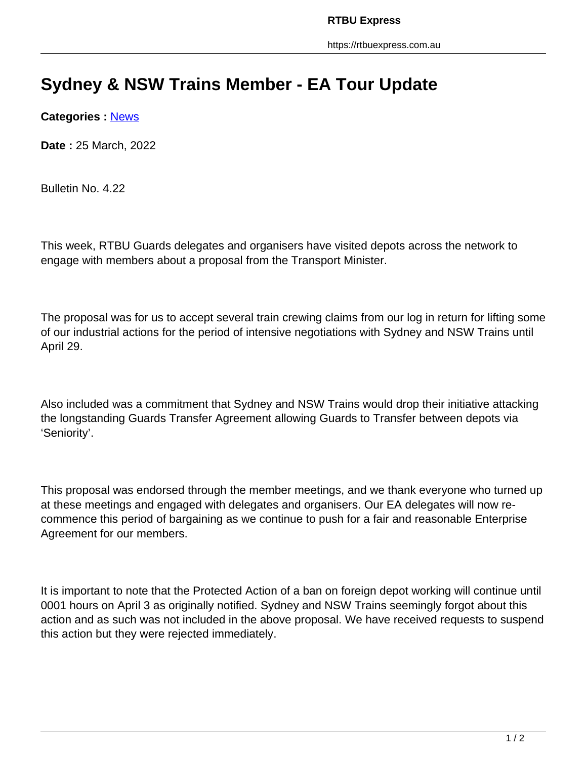## **Sydney & NSW Trains Member - EA Tour Update**

**Categories :** [News](https://rtbuexpress.com.au/category/news/)

**Date :** 25 March, 2022

Bulletin No. 4.22

This week, RTBU Guards delegates and organisers have visited depots across the network to engage with members about a proposal from the Transport Minister.

The proposal was for us to accept several train crewing claims from our log in return for lifting some of our industrial actions for the period of intensive negotiations with Sydney and NSW Trains until April 29.

Also included was a commitment that Sydney and NSW Trains would drop their initiative attacking the longstanding Guards Transfer Agreement allowing Guards to Transfer between depots via 'Seniority'.

This proposal was endorsed through the member meetings, and we thank everyone who turned up at these meetings and engaged with delegates and organisers. Our EA delegates will now recommence this period of bargaining as we continue to push for a fair and reasonable Enterprise Agreement for our members.

It is important to note that the Protected Action of a ban on foreign depot working will continue until 0001 hours on April 3 as originally notified. Sydney and NSW Trains seemingly forgot about this action and as such was not included in the above proposal. We have received requests to suspend this action but they were rejected immediately.